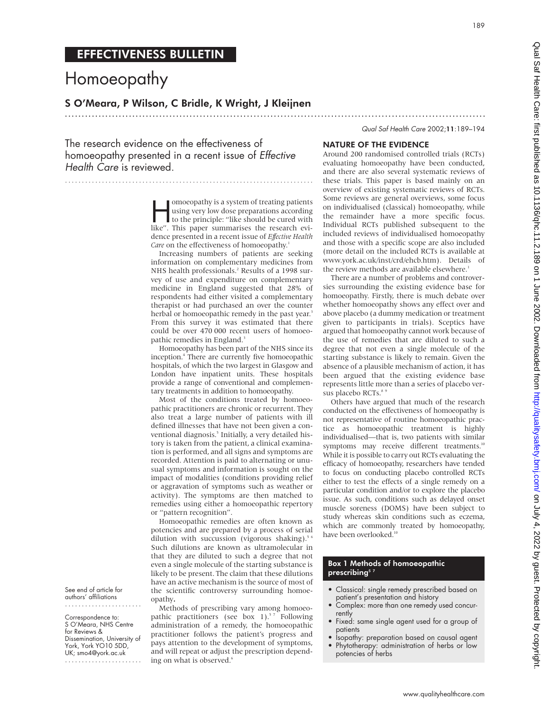189

## EFFECTIVENESS BULLETIN

# Homoeopathy

..........................................................................

### S O'Meara, P Wilson, C Bridle, K Wright, J Kleijnen

.............................................................................................................................

The research evidence on the effectiveness of homoeopathy presented in a recent issue of Effective Health Care is reviewed.

> moeopathy is a system of treating patients<br>using very low dose preparations according<br>to the principle: "like should be cured with<br>like" This paper summarises the research eviusing very low dose preparations according like". This paper summarises the research evidence presented in a recent issue of *Effective Health Care* on the effectiveness of homoeopathy.<sup>1</sup>

> Increasing numbers of patients are seeking information on complementary medicines from NHS health professionals.<sup>2</sup> Results of a 1998 survey of use and expenditure on complementary medicine in England suggested that 28% of respondents had either visited a complementary therapist or had purchased an over the counter herbal or homoeopathic remedy in the past year.<sup>3</sup> From this survey it was estimated that there could be over 470 000 recent users of homoeopathic remedies in England.<sup>3</sup>

> Homoeopathy has been part of the NHS since its inception.<sup>4</sup> There are currently five homoeopathic hospitals, of which the two largest in Glasgow and London have inpatient units. These hospitals provide a range of conventional and complementary treatments in addition to homoeopathy.

> Most of the conditions treated by homoeopathic practitioners are chronic or recurrent. They also treat a large number of patients with ill defined illnesses that have not been given a conventional diagnosis.<sup>5</sup> Initially, a very detailed history is taken from the patient, a clinical examination is performed, and all signs and symptoms are recorded. Attention is paid to alternating or unusual symptoms and information is sought on the impact of modalities (conditions providing relief or aggravation of symptoms such as weather or activity). The symptoms are then matched to remedies using either a homoeopathic repertory or "pattern recognition".

> Homoeopathic remedies are often known as potencies and are prepared by a process of serial dilution with succussion (vigorous shaking).<sup>5 6</sup> Such dilutions are known as ultramolecular in that they are diluted to such a degree that not even a single molecule of the starting substance is likely to be present. The claim that these dilutions have an active mechanism is the source of most of the scientific controversy surrounding homoeopathy**.**

> Methods of prescribing vary among homoeopathic practitioners (see box 1).<sup>57</sup> Following administration of a remedy, the homoeopathic practitioner follows the patient's progress and pays attention to the development of symptoms, and will repeat or adjust the prescription depending on what is observed.<sup>6</sup>

#### NATURE OF THE EVIDENCE

Around 200 randomised controlled trials (RCTs) evaluating homoeopathy have been conducted, and there are also several systematic reviews of these trials. This paper is based mainly on an overview of existing systematic reviews of RCTs. Some reviews are general overviews, some focus on individualised (classical) homoeopathy, while the remainder have a more specific focus. Individual RCTs published subsequent to the included reviews of individualised homoeopathy and those with a specific scope are also included (more detail on the included RCTs is available at www.york.ac.uk/inst/crd/ehcb.htm). Details of the review methods are available elsewhere.<sup>1</sup>

Qual Saf Health Care 2002;11:189–194

There are a number of problems and controversies surrounding the existing evidence base for homoeopathy. Firstly, there is much debate over whether homoeopathy shows any effect over and above placebo (a dummy medication or treatment given to participants in trials). Sceptics have argued that homoeopathy cannot work because of the use of remedies that are diluted to such a degree that not even a single molecule of the starting substance is likely to remain. Given the absence of a plausible mechanism of action, it has been argued that the existing evidence base represents little more than a series of placebo versus placebo RCTs.<sup>8</sup>

Others have argued that much of the research conducted on the effectiveness of homoeopathy is not representative of routine homoeopathic practice as homoeopathic treatment is highly individualised—that is, two patients with similar symptoms may receive different treatments.<sup>10</sup> While it is possible to carry out RCTs evaluating the efficacy of homoeopathy, researchers have tended to focus on conducting placebo controlled RCTs either to test the effects of a single remedy on a particular condition and/or to explore the placebo issue. As such, conditions such as delayed onset muscle soreness (DOMS) have been subject to study whereas skin conditions such as eczema, which are commonly treated by homoeopathy, have been overlooked.<sup>1</sup>

#### Box 1 Methods of homoeopathic prescribing<sup>5</sup>

- Classical: single remedy prescribed based on patient's presentation and history
- Complex: more than one remedy used concurrently
- Fixed: same single agent used for a group of patients
- Isopathy: preparation based on causal agent • Phytotherapy: administration of herbs or low potencies of herbs

See end of article for authors' affiliations .......................

Correspondence to: S O'Meara, NHS Centre for Reviews & Dissemination, University of York, York YO10 5DD, UK; smo4@york.ac.uk .......................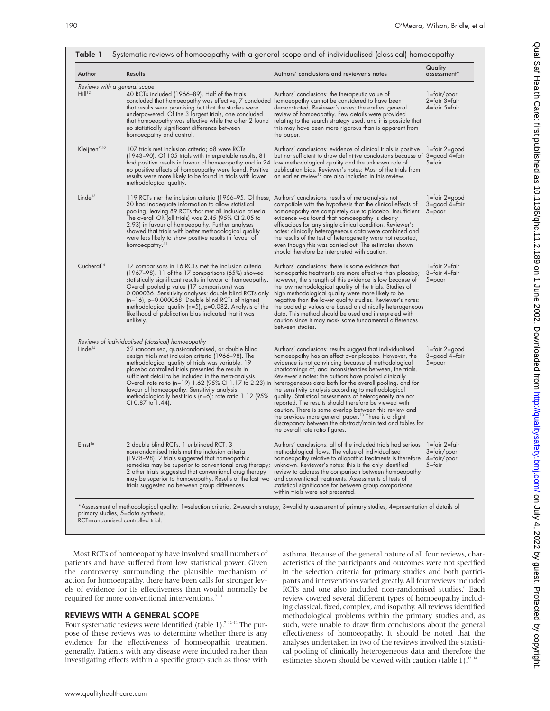| Author                                             | Results                                                                                                                                                                                                                                                                                                                                                                                                                                                                                      | Authors' conclusions and reviewer's notes                                                                                                                                                                                                                                                                                                                                                                                                                                                                                                                                                                                                                                                                                                                                                                                      | Quality<br>assessment*                              |
|----------------------------------------------------|----------------------------------------------------------------------------------------------------------------------------------------------------------------------------------------------------------------------------------------------------------------------------------------------------------------------------------------------------------------------------------------------------------------------------------------------------------------------------------------------|--------------------------------------------------------------------------------------------------------------------------------------------------------------------------------------------------------------------------------------------------------------------------------------------------------------------------------------------------------------------------------------------------------------------------------------------------------------------------------------------------------------------------------------------------------------------------------------------------------------------------------------------------------------------------------------------------------------------------------------------------------------------------------------------------------------------------------|-----------------------------------------------------|
| Reviews with a general scope<br>Hill <sup>12</sup> | 40 RCTs included (1966–89). Half of the trials<br>concluded that homoeopathy was effective, 7 concluded homoeopathy cannot be considered to have been<br>that results were promising but that the studies were<br>underpowered. Of the 3 largest trials, one concluded<br>that homoeopathy was effective while the other 2 found<br>no statistically significant difference between<br>homoeopathy and control.                                                                              | Authors' conclusions: the therapeutic value of<br>demonstrated. Reviewer's notes: the earliest general<br>review of homoeopathy. Few details were provided<br>relating to the search strategy used, and it is possible that<br>this may have been more rigorous than is apparent from<br>the paper.                                                                                                                                                                                                                                                                                                                                                                                                                                                                                                                            | $l = fair / poor$<br>2=fair 3=fair<br>4=fair 5=fair |
| Kleijnen $740$                                     | 107 trials met inclusion criteria; 68 were RCTs<br>(1943–90). Of 105 trials with interpretable results, 81<br>had positive results in favour of homoeopathy and in 24<br>no positive effects of homoeopathy were found. Positive<br>results were more likely to be found in trials with lower<br>methodological quality.                                                                                                                                                                     | Authors' conclusions: evidence of clinical trials is positive<br>but not sufficient to draw definitive conclusions because of 3=good 4=fair<br>low methodological quality and the unknown role of<br>publication bias. Reviewer's notes: Most of the trials from<br>an earlier review <sup>12</sup> are also included in this review.                                                                                                                                                                                                                                                                                                                                                                                                                                                                                          | 1=fair 2=good<br>5=fair                             |
| Linde <sup>13</sup>                                | 119 RCTs met the inclusion criteria (1966-95. Of these, Authors' conclusions: results of meta-analysis not<br>30 had inadequate information to allow statistical<br>pooling, leaving 89 RCTs that met all inclusion criteria.<br>The overall OR (all trials) was $2.45$ (95% CI 2.05 to<br>2.93) in tavour ot homoeopathy. Further analyses<br>showed that trials with better methodological quality<br>were less likely to show positive results in favour of<br>homoeopathy. <sup>41</sup> | compatible with the hypothesis that the clinical effects of<br>homoeopathy are completely due to placebo. Insufficient<br>evidence was found that homoeopathy is clearly<br>efficacious for any single clinical condition. Reviewer's<br>notes: clinically heterogeneous data were combined and<br>the results of the test of heterogeneity were not reported,<br>even though this was carried out. The estimates shown<br>should therefore be interpreted with caution.                                                                                                                                                                                                                                                                                                                                                       | 1=fair 2=good<br>3=good 4=fair<br>$5 = poor$        |
| Cucherat <sup>14</sup>                             | 17 comparisons in 16 RCTs met the inclusion criteria<br>(1967-98). 11 of the 17 comparisons (65%) showed<br>statistically significant results in favour of homoeopathy.<br>Overall pooled p value (17 comparisons) was<br>0.000036. Sensitivity analyses: double blind RCTs only<br>$(n=16)$ , p=0.000068. Double blind RCTs of highest<br>methodological quality ( $n=5$ ), $p=0.082$ . Analysis of the<br>likelihood of publication bias indicated that it was<br>unlikely.                | Authors' conclusions: there is some evidence that<br>homeopathic treatments are more effective than placebo;<br>however, the strength of this evidence is low because of<br>the low methodological quality of the trials. Studies of<br>high methodological quality were more likely to be<br>negative than the lower quality studies. Reviewer's notes:<br>the pooled p values are based on clinically heterogeneous<br>data. This method should be used and interpreted with<br>caution since it may mask some fundamental differences<br>between studies.                                                                                                                                                                                                                                                                   | 1=fair 2=fair<br>3=fair 4=fair<br>$5 = poor$        |
| Linde <sup>15</sup>                                | Reviews of individualised (classical) homoeopathy<br>32 randomised, quasi-randomised, or double blind<br>design trials met inclusion criteria (1966-98). The<br>methodological quality of trials was variable. 19<br>placebo controlled trials presented the results in<br>sufficient detail to be included in the meta-analysis.<br>favour of homoeopathy. Sensitivity analysis:<br>methodologically best trials (n=6): rate ratio 1.12 (95%<br>CI 0.87 to 1.44).                           | Authors' conclusions: results suggest that individualised<br>homoeopathy has an effect over placebo. However, the<br>evidence is not convincing because of methodological<br>shortcomings of, and inconsistencies between, the trials.<br>Reviewer's notes: the authors have pooled clinically<br>Overall rate ratio (n=19) 1.62 (95% Cl 1.17 to 2.23) in heterogeneous data both for the overall pooling, and for<br>the sensitivity analysis according to methodological<br>quality. Statistical assessments of heterogeneity are not<br>reported. The results should therefore be viewed with<br>caution. There is some overlap between this review and<br>the previous more general paper. <sup>13</sup> There is a slight<br>discrepancy between the abstract/main text and tables for<br>the overall rate ratio tigures. | 1=fair 2=good<br>3=good 4=fair<br>$5 = poor$        |
| Ernst <sup>16</sup>                                | 2 double blind RCTs, 1 unblinded RCT, 3<br>non-randomised trials met the inclusion criteria<br>(1978–98). 2 trials suggested that homeopathic<br>remedies may be superior to conventional drug therapy;<br>2 other trials suggested that conventional drug therapy<br>may be superior to homoeopathy. Results of the last two<br>trials suggested no between group differences.                                                                                                              | Authors' conclusions: all of the included trials had serious  1=fair 2=fair<br>methodological flaws. The value of individualised _______________________________<br>homoeopathy relative to allopathic treatments is therefore 4=fair/poor<br>unknown. Reviewer's notes: this is the only identified<br>review to address the comparison between homoeopathy<br>and conventional treatments. Assessments of tests of<br>statistical significance for between group comparisons<br>within trials were not presented.                                                                                                                                                                                                                                                                                                            | 5=tair                                              |

Most RCTs of homoeopathy have involved small numbers of patients and have suffered from low statistical power. Given the controversy surrounding the plausible mechanism of action for homoeopathy, there have been calls for stronger levels of evidence for its effectiveness than would normally be required for more conventional interventions.<sup>7</sup><sup>1</sup>

#### REVIEWS WITH A GENERAL SCOPE

Four systematic reviews were identified (table 1).<sup>7</sup> <sup>12-14</sup> The purpose of these reviews was to determine whether there is any evidence for the effectiveness of homoeopathic treatment generally. Patients with any disease were included rather than investigating effects within a specific group such as those with

asthma. Because of the general nature of all four reviews, characteristics of the participants and outcomes were not specified in the selection criteria for primary studies and both participants and interventions varied greatly. All four reviews included RCTs and one also included non-randomised studies.<sup>6</sup> Each review covered several different types of homoeopathy including classical, fixed, complex, and isopathy. All reviews identified methodological problems within the primary studies and, as such, were unable to draw firm conclusions about the general effectiveness of homoeopathy. It should be noted that the analyses undertaken in two of the reviews involved the statistical pooling of clinically heterogeneous data and therefore the estimates shown should be viewed with caution (table 1).<sup>13 14</sup>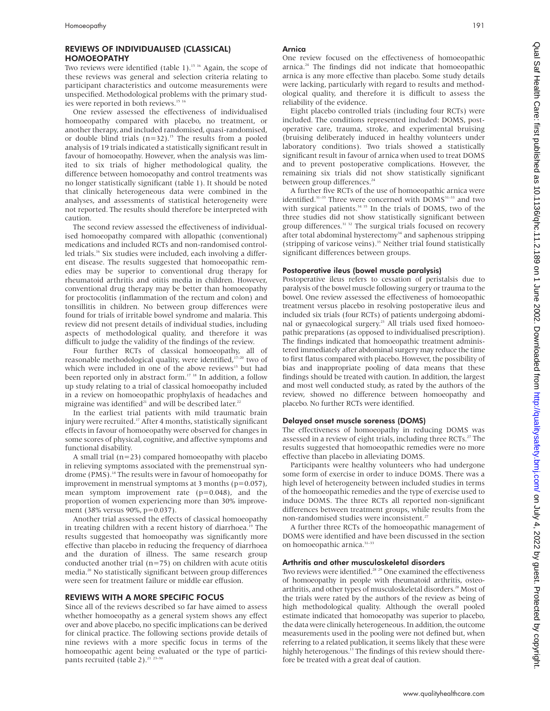#### REVIEWS OF INDIVIDUALISED (CLASSICAL) HOMOEOPATHY

Two reviews were identified (table 1).<sup>15 16</sup> Again, the scope of these reviews was general and selection criteria relating to participant characteristics and outcome measurements were unspecified. Methodological problems with the primary studies were reported in both reviews.<sup>15 16</sup>

One review assessed the effectiveness of individualised homoeopathy compared with placebo, no treatment, or another therapy, and included randomised, quasi-randomised, or double blind trials  $(n=32)$ .<sup>15</sup> The results from a pooled analysis of 19 trials indicated a statistically significant result in favour of homoeopathy. However, when the analysis was limited to six trials of higher methodological quality, the difference between homoeopathy and control treatments was no longer statistically significant (table 1). It should be noted that clinically heterogeneous data were combined in the analyses, and assessments of statistical heterogeneity were not reported. The results should therefore be interpreted with caution.

The second review assessed the effectiveness of individualised homoeopathy compared with allopathic (conventional) medications and included RCTs and non-randomised controlled trials.<sup>16</sup> Six studies were included, each involving a different disease. The results suggested that homoeopathic remedies may be superior to conventional drug therapy for rheumatoid arthritis and otitis media in children. However, conventional drug therapy may be better than homoeopathy for proctocolitis (inflammation of the rectum and colon) and tonsillitis in children. No between group differences were found for trials of irritable bowel syndrome and malaria. This review did not present details of individual studies, including aspects of methodological quality, and therefore it was difficult to judge the validity of the findings of the review.

Four further RCTs of classical homoeopathy, all of reasonable methodological quality, were identified,<sup>17-20</sup> two of which were included in one of the above reviews<sup>15</sup> but had been reported only in abstract form.<sup>17 18</sup> In addition, a follow up study relating to a trial of classical homoeopathy included in a review on homoeopathic prophylaxis of headaches and migraine was identified<sup>21</sup> and will be described later.<sup>22</sup>

In the earliest trial patients with mild traumatic brain injury were recruited.<sup>17</sup> After 4 months, statistically significant effects in favour of homoeopathy were observed for changes in some scores of physical, cognitive, and affective symptoms and functional disability.

A small trial  $(n=23)$  compared homoeopathy with placebo in relieving symptoms associated with the premenstrual syndrome (PMS).<sup>18</sup> The results were in favour of homoeopathy for improvement in menstrual symptoms at 3 months (p=0.057), mean symptom improvement rate (p=0.048), and the proportion of women experiencing more than 30% improvement (38% versus 90%, p=0.037).

Another trial assessed the effects of classical homoeopathy in treating children with a recent history of diarrhoea.<sup>19</sup> The results suggested that homoeopathy was significantly more effective than placebo in reducing the frequency of diarrhoea and the duration of illness. The same research group conducted another trial  $(n=75)$  on children with acute otitis media.<sup>20</sup> No statistically significant between group differences were seen for treatment failure or middle ear effusion.

#### REVIEWS WITH A MORE SPECIFIC FOCUS

Since all of the reviews described so far have aimed to assess whether homoeopathy as a general system shows any effect over and above placebo, no specific implications can be derived for clinical practice. The following sections provide details of nine reviews with a more specific focus in terms of the homoeopathic agent being evaluated or the type of participants recruited (table 2). $^{21}$ 

#### Arnica

One review focused on the effectiveness of homoeopathic arnica.24 The findings did not indicate that homoeopathic arnica is any more effective than placebo. Some study details were lacking, particularly with regard to results and methodological quality, and therefore it is difficult to assess the reliability of the evidence.

Eight placebo controlled trials (including four RCTs) were included. The conditions represented included: DOMS, postoperative care, trauma, stroke, and experimental bruising (bruising deliberately induced in healthy volunteers under laboratory conditions). Two trials showed a statistically significant result in favour of arnica when used to treat DOMS and to prevent postoperative complications. However, the remaining six trials did not show statistically significant between group differences.<sup>24</sup>

A further five RCTs of the use of homoeopathic arnica were identified.<sup>31-35</sup> Three were concerned with DOMS<sup>31-33</sup> and two with surgical patients. $3435$  In the trials of DOMS, two of the three studies did not show statistically significant between group differences.<sup>31 32</sup> The surgical trials focused on recovery after total abdominal hysterectomy<sup>34</sup> and saphenous stripping (stripping of varicose veins).35 Neither trial found statistically significant differences between groups.

#### Postoperative ileus (bowel muscle paralysis)

Postoperative ileus refers to cessation of peristalsis due to paralysis of the bowel muscle following surgery or trauma to the bowel. One review assessed the effectiveness of homoeopathic treatment versus placebo in resolving postoperative ileus and included six trials (four RCTs) of patients undergoing abdominal or gynaecological surgery.<sup>23</sup> All trials used fixed homoeopathic preparations (as opposed to individualised prescription). The findings indicated that homoeopathic treatment administered immediately after abdominal surgery may reduce the time to first flatus compared with placebo. However, the possibility of bias and inappropriate pooling of data means that these findings should be treated with caution. In addition, the largest and most well conducted study, as rated by the authors of the review, showed no difference between homoeopathy and placebo. No further RCTs were identified.

#### Delayed onset muscle soreness (DOMS)

The effectiveness of homoeopathy in reducing DOMS was assessed in a review of eight trials, including three RCTs.<sup>27</sup> The results suggested that homoeopathic remedies were no more effective than placebo in alleviating DOMS.

Participants were healthy volunteers who had undergone some form of exercise in order to induce DOMS. There was a high level of heterogeneity between included studies in terms of the homoeopathic remedies and the type of exercise used to induce DOMS. The three RCTs all reported non-significant differences between treatment groups, while results from the non-randomised studies were inconsistent.<sup>27</sup>

A further three RCTs of the homoeopathic management of DOMS were identified and have been discussed in the section on homoeopathic arnica.<sup>31-33</sup>

#### Arthritis and other musculoskeletal disorders

Two reviews were identified.<sup>28</sup> <sup>29</sup> One examined the effectiveness of homoeopathy in people with rheumatoid arthritis, osteoarthritis, and other types of musculoskeletal disorders.<sup>28</sup> Most of the trials were rated by the authors of the review as being of high methodological quality. Although the overall pooled estimate indicated that homoeopathy was superior to placebo, the data were clinically heterogeneous. In addition, the outcome measurements used in the pooling were not defined but, when referring to a related publication, it seems likely that these were highly heterogenous.<sup>13</sup> The findings of this review should therefore be treated with a great deal of caution.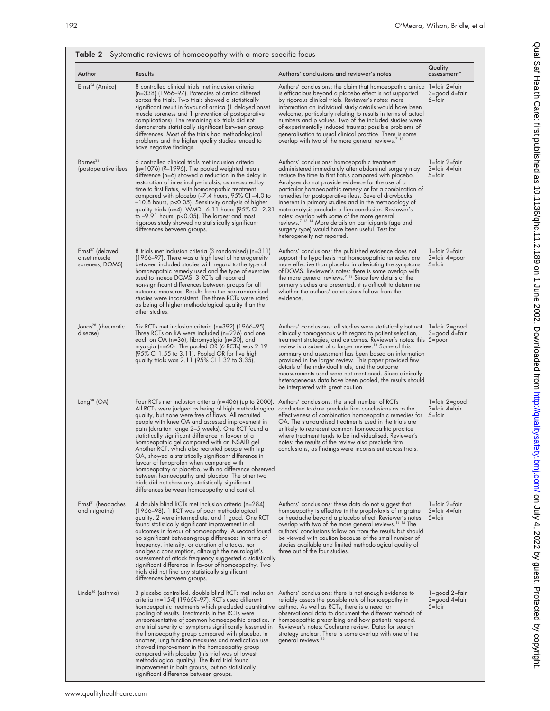Qual Saf Health Care: first published as 10.1136/qhc.11.2.189 on 1 June 2002. Downloaded from http://qualitysafety.bmj.com/ on July 4, 2022 by guest. Protected by copyright. on July 4, 2022 by guest. Protected by copyright. <http://qualitysafety.bmj.com/> Qual Saf Health Care: first published as 10.1136/qhc.11.2.189 on 1 June 2002. Downloaded from

| Author                                                          | Results                                                                                                                                                                                                                                                                                                                                                                                                                                                                                                                                                                                                                                                                                                                                                                                                         | Authors' conclusions and reviewer's notes                                                                                                                                                                                                                                                                                                                                                                                                                                                                                                                                                                                                                   | Quality<br>assessment*                       |
|-----------------------------------------------------------------|-----------------------------------------------------------------------------------------------------------------------------------------------------------------------------------------------------------------------------------------------------------------------------------------------------------------------------------------------------------------------------------------------------------------------------------------------------------------------------------------------------------------------------------------------------------------------------------------------------------------------------------------------------------------------------------------------------------------------------------------------------------------------------------------------------------------|-------------------------------------------------------------------------------------------------------------------------------------------------------------------------------------------------------------------------------------------------------------------------------------------------------------------------------------------------------------------------------------------------------------------------------------------------------------------------------------------------------------------------------------------------------------------------------------------------------------------------------------------------------------|----------------------------------------------|
| Ernst <sup>24</sup> (Arnica)                                    | 8 controlled clinical trials met inclusion criteria<br>(n=338) (1966–97). Potencies of arnica differed<br>across the trials. Two trials showed a statistically<br>significant result in favour of arnica (1 delayed onset<br>muscle soreness and 1 prevention of postoperative<br>complications). The remaining six trials did not<br>demonstrate statistically significant between group<br>differences. Most of the trials had methodological<br>problems and the higher quality studies tended to<br>have negative findings.                                                                                                                                                                                                                                                                                 | Authors' conclusions: the claim that homoeopathic arnica 1=fair 2=fair<br>is efficacious beyond a placebo effect is not supported<br>by rigorous clinical trials. Reviewer's notes: more<br>information on individual study details would have been<br>welcome, particularly relating to results in terms of actual<br>numbers and p values. Two of the included studies were<br>of experimentally induced trauma; possible problems of<br>generalisation to usual clinical practice. There is some<br>overlap with two of the more general reviews. <sup>713</sup>                                                                                         | 3=good 4=fair<br>$5 =$ fair                  |
| Barnes <sup>23</sup><br>(postoperative ileus)                   | 6 controlled clinical trials met inclusion criteria<br>$(n=1076)$ (?-1996). The pooled weighted mean<br>difference (n=6) showed a reduction in the delay in<br>restoration of intestinal peristalsis, as measured by<br>time to first flatus, with homoeopathic treatment<br>compared with placebo $[-7.4$ hours, 95% CI $-4.0$ to<br>-10.8 hours, p<0.05). Sensitivity analysis of higher<br>quality trials (n=4): WMD -6.11 hours (95% CI -2.31<br>to $-9.91$ hours, $p<0.05$ ). The largest and most<br>rigorous study showed no statistically significant<br>differences between groups.                                                                                                                                                                                                                    | Authors' conclusions: homoeopathic treatment<br>administered immediately after abdominal surgery may<br>reduce the time to first flatus compared with placebo.<br>Analyses do not provide evidence for the use of a<br>particular homoeopathic remedy or for a combination of<br>remedies for postoperative ileus. Several drawbacks<br>inherent in primary studies and in the methodology of<br>meta-analysis preclude a firm conclusion. Reviewer's<br>notes: overlap with some of the more general<br>reviews. <sup>7 13 14</sup> More details on participants (age and<br>surgery type) would have been useful. Test for<br>heterogeneity not reported. | 1=fair 2=fair<br>3=fair 4=fair<br>$5 =$ fair |
| Ernst <sup>27</sup> (delayed<br>onset muscle<br>soreness; DOMS) | 8 trials met inclusion criteria (3 randomised) (n=311)<br>(1966–97). There was a high level of heterogeneity<br>between included studies with regard to the type of<br>homoeopathic remedy used and the type of exercise<br>used to induce DOMS. 3 RCTs all reported<br>non-significant differences between groups for all<br>outcome measures. Results from the non-randomised<br>studies were inconsistent. The three RCTs were rated<br>as being of higher methodological quality than the<br>other studies.                                                                                                                                                                                                                                                                                                 | Authors' conclusions: the published evidence does not<br>support the hypothesis that homoeopathic remedies are<br>more effective than placebo in alleviating the symptoms<br>of DOMS. Reviewer's notes: there is some overlap with<br>the more general reviews. <sup>7</sup> <sup>13</sup> Since few details of the<br>primary studies are presented, it is difficult to determine<br>whether the authors' conclusions follow from the<br>evidence.                                                                                                                                                                                                         | 1=fair 2=fair<br>3=tair 4=poor<br>$5 =$ fair |
| Jonas <sup>28</sup> (rheumatic<br>disease)                      | Six RCTs met inclusion criteria (n=392) (1966–95).<br>Three RCTs on RA were included (n=226) and one<br>each on OA (n=36), tibromyalgia (n=30), and<br>myalgia (n=60). The pooled OR (6 RCTs) was 2.19<br>(95% CI 1.55 to 3.11). Pooled OR for five high<br>quality trials was 2.11 (95% CI 1.32 to 3.35).                                                                                                                                                                                                                                                                                                                                                                                                                                                                                                      | Authors' conclusions: all studies were statistically but not<br>clinically homogenous with regard to patient selection,<br>treatment strategies, and outcomes. Reviewer's notes: this 5=poor<br>review is a subset of a larger review. <sup>13</sup> Some of this<br>summary and assessment has been based on information<br>provided in the larger review. This paper provided few<br>details of the individual trials, and the outcome<br>measurements used were not mentioned. Since clinically<br>heterogeneous data have been pooled, the results should<br>be interpreted with great caution.                                                         | 1=tair 2=good<br>3=good 4=tair               |
| Long <sup>29</sup> (OA)                                         | Four RCTs met inclusion criteria (n=406) (up to 2000).<br>All RCTs were judged as being of high methodological conducted to date preclude firm conclusions as to the<br>quality, but none were free of flaws. All recruited<br>people with knee OA and assessed improvement in<br>pain (duration range 2–5 weeks). One RCT found a<br>statistically significant difference in favour of a<br>homoeopathic gel compared with an NSAID gel.<br>Another RCT, which also recruited people with hip<br>OA, showed a statistically significant difference in<br>tavour of tenoproten when compared with<br>homoeopathy or placebo, with no difference observed<br>between homoeopathy and placebo. The other two<br>trials did not show any statistically significant<br>differences between homoeopathy and control. | Authors' conclusions: the small number of RCTs<br>effectiveness of combination homoeopathic remedies for 5=fair<br>OA. The standardised treatments used in the trials are<br>unlikely to represent common homoeopathic practice<br>where treatment tends to be individualised. Reviewer's<br>notes: the results of the review also preclude firm<br>conclusions, as findings were inconsistent across trials.                                                                                                                                                                                                                                               | 1=fair 2=good<br>3=fair 4=fair               |
| Ernst <sup>21</sup> (headaches<br>and migraine)                 | 4 double blind RCTs met inclusion criteria (n=284)<br>(1966–98). 1 RCT was of poor methodological<br>quality, 2 were intermediate, and 1 good. One RCT<br>found statistically significant improvement in all<br>outcomes in favour of homoeopathy. A second found<br>no significant between-group differences in terms of<br>frequency, intensity, or duration of attacks, nor<br>analgesic consumption, although the neurologist's<br>assessment of attack frequency suggested a statistically<br>significant difference in favour of homoeopathy. Two<br>trials did not find any statistically significant<br>differences between groups.                                                                                                                                                                     | Authors' conclusions: these data do not suggest that<br>homoeopathy is effective in the prophylaxis of migraine<br>or headache beyond a placebo effect. Reviewer's notes: 5=fair<br>overlap with two of the more general reviews. <sup>13</sup> <sup>15</sup> The<br>authors' conclusions follow on from the results but should<br>be viewed with caution because of the small number of<br>studies available and limited methodological quality of<br>three out of the four studies.                                                                                                                                                                       | 1=fair 2=fair<br>3=fair 4=fair               |
| Linde <sup>26</sup> (asthma)                                    | 3 placebo controlled, double blind RCTs met inclusion<br>criteria (n=154) (1966?-97). RCTs used different<br>homoeopathic treatments which precluded quantitative asthma. As well as RCTs, there is a need for<br>pooling of results. Treatments in the RCTs were<br>unrepresentative of common homoeopathic practice. In homoeopathic prescribing and how patients respond.<br>one trial severity of symptoms significantly lessened in<br>the homoeopathy group compared with placebo. In<br>another, lung function measures and medication use<br>showed improvement in the homoeopathy group<br>compared with placebo (this trial was of lowest<br>methodological quality). The third trial found<br>improvement in both groups, but no statistically<br>significant difference between groups.             | Authors' conclusions: there is not enough evidence to<br>reliably assess the possible role of homoeopathy in<br>observational data to document the different methods of<br>Reviewer's notes: Cochrane review. Dates for search<br>strategy unclear. There is some overlap with one of the<br>general reviews. <sup>13</sup>                                                                                                                                                                                                                                                                                                                                 | 1=good 2=fair<br>3=good 4=fair<br>$5 =$ fair |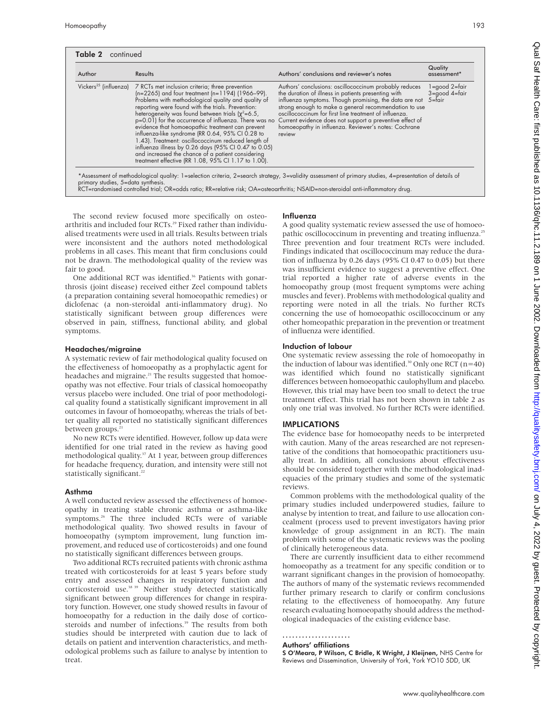| ×<br>I<br>۰.<br>u.<br>$\sim$ |  |
|------------------------------|--|
|------------------------------|--|

| Author | <b>Results</b>                                                                                                                                                                                                                                                                                                                                                                                                                                                                                                                                                                                                                                                                                          | Authors' conclusions and reviewer's notes                                                                                                                                                                                                                                                                                                                                                                                | Quality<br>assessment <sup>*</sup>                               |
|--------|---------------------------------------------------------------------------------------------------------------------------------------------------------------------------------------------------------------------------------------------------------------------------------------------------------------------------------------------------------------------------------------------------------------------------------------------------------------------------------------------------------------------------------------------------------------------------------------------------------------------------------------------------------------------------------------------------------|--------------------------------------------------------------------------------------------------------------------------------------------------------------------------------------------------------------------------------------------------------------------------------------------------------------------------------------------------------------------------------------------------------------------------|------------------------------------------------------------------|
|        | Vickers <sup>25</sup> (influenza) 7 RCTs met inclusion criteria; three prevention<br>(n=2265) and four treatment (n=1194) (1966-99).<br>Problems with methodological quality and quality of<br>reporting were found with the trials. Prevention:<br>heterogeneity was found between trials ( $\chi^2$ =6.5,<br>p=0.01) for the occurrence of influenza. There was no<br>evidence that homoeopathic treatment can prevent<br>influenza-like syndrome (RR 0.64, 95% CI 0.28 to<br>1.43). Treatment: oscillococcinum reduced length of<br>influenza illness by 0.26 days (95% CI 0.47 to 0.05)<br>and increased the chance of a patient considering<br>treatment effective (RR 1.08, 95% CI 1.17 to 1.00). | Authors' conclusions: oscillococcinum probably reduces<br>the duration of illness in patients presenting with<br>influenza symptoms. Though promising, the data are not<br>strong enough to make a general recommendation to use<br>oscillococcinum for first line treatment of influenza.<br>Current evidence does not support a preventive effect of<br>homoeopathy in influenza. Reviewer's notes: Cochrane<br>review | l=good 2=fair<br>$3 = \text{good }4 = \text{fair}$<br>$5 =$ fair |

The second review focused more specifically on osteoarthritis and included four RCTs.<sup>29</sup> Fixed rather than individualised treatments were used in all trials. Results between trials were inconsistent and the authors noted methodological problems in all cases. This meant that firm conclusions could not be drawn. The methodological quality of the review was fair to good.

One additional RCT was identified.<sup>36</sup> Patients with gonarthrosis (joint disease) received either Zeel compound tablets (a preparation containing several homoeopathic remedies) or diclofenac (a non-steroidal anti-inflammatory drug). No statistically significant between group differences were observed in pain, stiffness, functional ability, and global symptoms.

#### Headaches/migraine

A systematic review of fair methodological quality focused on the effectiveness of homoeopathy as a prophylactic agent for headaches and migraine.<sup>21</sup> The results suggested that homoeopathy was not effective. Four trials of classical homoeopathy versus placebo were included. One trial of poor methodological quality found a statistically significant improvement in all outcomes in favour of homoeopathy, whereas the trials of better quality all reported no statistically significant differences between groups.<sup>21</sup>

No new RCTs were identified. However, follow up data were identified for one trial rated in the review as having good methodological quality.<sup>37</sup> At 1 year, between group differences for headache frequency, duration, and intensity were still not statistically significant.<sup>2</sup>

#### Asthma

A well conducted review assessed the effectiveness of homoeopathy in treating stable chronic asthma or asthma-like symptoms.<sup>26</sup> The three included RCTs were of variable methodological quality. Two showed results in favour of homoeopathy (symptom improvement, lung function improvement, and reduced use of corticosteroids) and one found no statistically significant differences between groups.

Two additional RCTs recruited patients with chronic asthma treated with corticosteroids for at least 5 years before study entry and assessed changes in respiratory function and corticosteroid use.<sup>38 39</sup> Neither study detected statistically significant between group differences for change in respiratory function. However, one study showed results in favour of homoeopathy for a reduction in the daily dose of corticosteroids and number of infections.<sup>39</sup> The results from both studies should be interpreted with caution due to lack of details on patient and intervention characteristics, and methodological problems such as failure to analyse by intention to treat.

#### Influenza

A good quality systematic review assessed the use of homoeopathic oscillococcinum in preventing and treating influenza.<sup>25</sup> Three prevention and four treatment RCTs were included. Findings indicated that oscillococcinum may reduce the duration of influenza by 0.26 days (95% CI 0.47 to 0.05) but there was insufficient evidence to suggest a preventive effect. One trial reported a higher rate of adverse events in the homoeopathy group (most frequent symptoms were aching muscles and fever). Problems with methodological quality and reporting were noted in all the trials. No further RCTs concerning the use of homoeopathic oscillococcinum or any other homeopathic preparation in the prevention or treatment of influenza were identified.

#### Induction of labour

One systematic review assessing the role of homoeopathy in the induction of labour was identified.<sup>30</sup> Only one RCT ( $n=40$ ) was identified which found no statistically significant differences between homoeopathic caulophyllum and placebo. However, this trial may have been too small to detect the true treatment effect. This trial has not been shown in table 2 as only one trial was involved. No further RCTs were identified.

#### IMPLICATIONS

The evidence base for homoeopathy needs to be interpreted with caution. Many of the areas researched are not representative of the conditions that homoeopathic practitioners usually treat. In addition, all conclusions about effectiveness should be considered together with the methodological inadequacies of the primary studies and some of the systematic reviews.

Common problems with the methodological quality of the primary studies included underpowered studies, failure to analyse by intention to treat, and failure to use allocation concealment (process used to prevent investigators having prior knowledge of group assignment in an RCT). The main problem with some of the systematic reviews was the pooling of clinically heterogeneous data.

There are currently insufficient data to either recommend homoeopathy as a treatment for any specific condition or to warrant significant changes in the provision of homoeopathy. The authors of many of the systematic reviews recommended further primary research to clarify or confirm conclusions relating to the effectiveness of homoeopathy. Any future research evaluating homoeopathy should address the methodological inadequacies of the existing evidence base.

Authors' affiliations

S O'Meara, P Wilson, C Bridle, K Wright, J Kleijnen, NHS Centre for Reviews and Dissemination, University of York, York YO10 5DD, UK

<sup>.....................</sup>